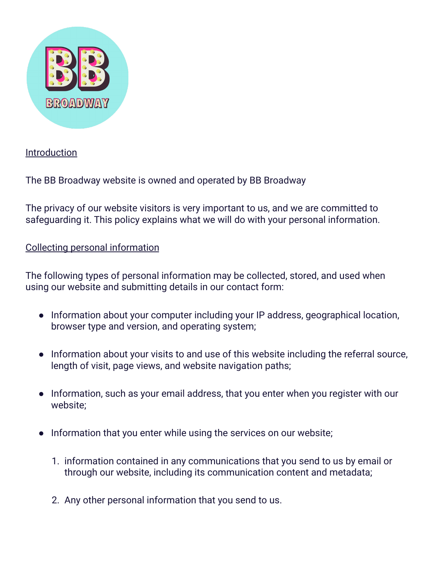

## Introduction

The BB Broadway website is owned and operated by BB Broadway

The privacy of our website visitors is very important to us, and we are committed to safeguarding it. This policy explains what we will do with your personal information.

## Collecting personal information

The following types of personal information may be collected, stored, and used when using our website and submitting details in our contact form:

- Information about your computer including your IP address, geographical location, browser type and version, and operating system;
- Information about your visits to and use of this website including the referral source, length of visit, page views, and website navigation paths;
- Information, such as your email address, that you enter when you register with our website;
- Information that you enter while using the services on our website;
	- 1. information contained in any communications that you send to us by email or through our website, including its communication content and metadata;
	- 2. Any other personal information that you send to us.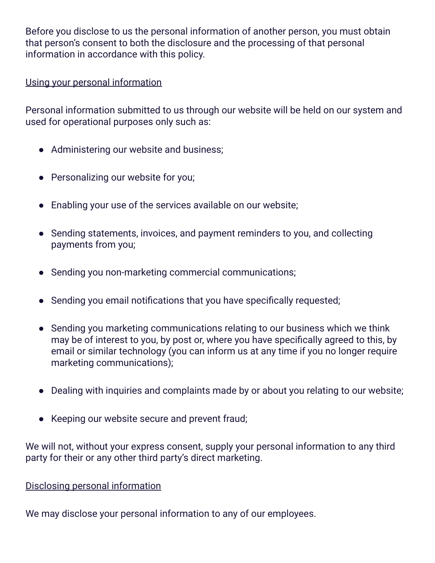Before you disclose to us the personal information of another person, you must obtain that person's consent to both the disclosure and the processing of that personal information in accordance with this policy.

### Using your personal information

Personal information submitted to us through our website will be held on our system and used for operational purposes only such as:

- Administering our website and business;
- Personalizing our website for you;
- Enabling your use of the services available on our website;
- Sending statements, invoices, and payment reminders to you, and collecting payments from you;
- Sending you non-marketing commercial communications;
- Sending you email notifications that you have specifically requested;
- Sending you marketing communications relating to our business which we think may be of interest to you, by post or, where you have specifically agreed to this, by email or similar technology (you can inform us at any time if you no longer require marketing communications);
- Dealing with inquiries and complaints made by or about you relating to our website;
- Keeping our website secure and prevent fraud;

We will not, without your express consent, supply your personal information to any third party for their or any other third party's direct marketing.

# Disclosing personal information

We may disclose your personal information to any of our employees.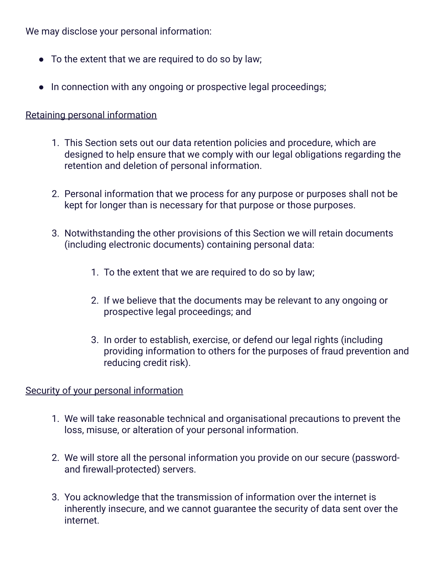We may disclose your personal information:

- To the extent that we are required to do so by law;
- In connection with any ongoing or prospective legal proceedings;

# Retaining personal information

- 1. This Section sets out our data retention policies and procedure, which are designed to help ensure that we comply with our legal obligations regarding the retention and deletion of personal information.
- 2. Personal information that we process for any purpose or purposes shall not be kept for longer than is necessary for that purpose or those purposes.
- 3. Notwithstanding the other provisions of this Section we will retain documents (including electronic documents) containing personal data:
	- 1. To the extent that we are required to do so by law;
	- 2. If we believe that the documents may be relevant to any ongoing or prospective legal proceedings; and
	- 3. In order to establish, exercise, or defend our legal rights (including providing information to others for the purposes of fraud prevention and reducing credit risk).

### Security of your personal information

- 1. We will take reasonable technical and organisational precautions to prevent the loss, misuse, or alteration of your personal information.
- 2. We will store all the personal information you provide on our secure (passwordand firewall-protected) servers.
- 3. You acknowledge that the transmission of information over the internet is inherently insecure, and we cannot guarantee the security of data sent over the internet.